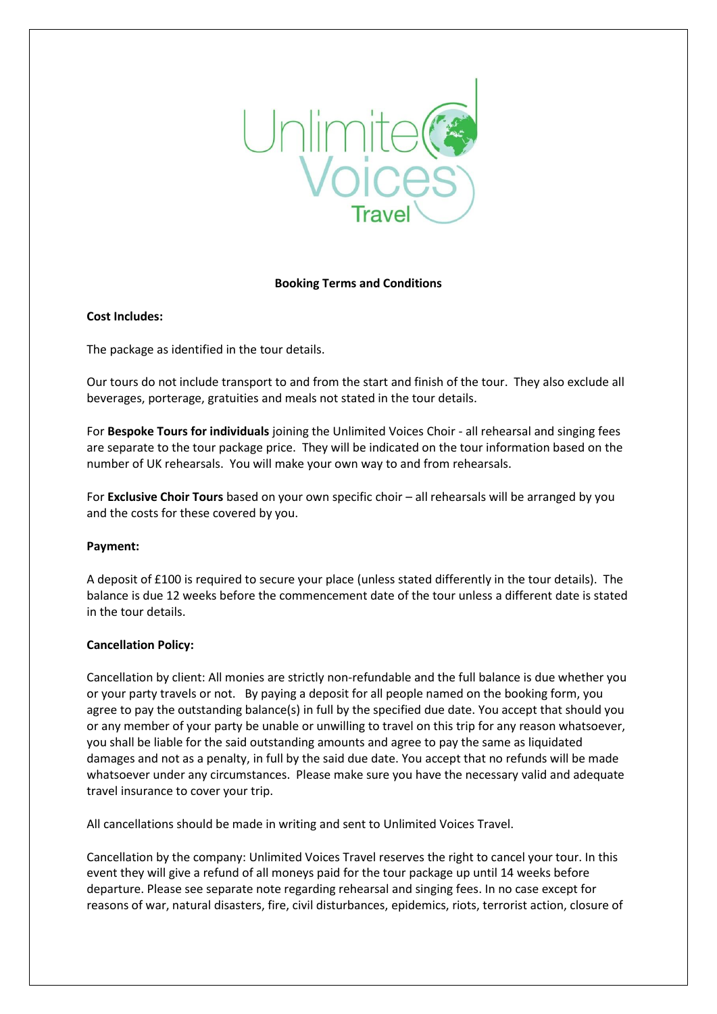

## **Booking Terms and Conditions**

# **Cost Includes:**

The package as identified in the tour details.

Our tours do not include transport to and from the start and finish of the tour. They also exclude all beverages, porterage, gratuities and meals not stated in the tour details.

For **Bespoke Tours for individuals** joining the Unlimited Voices Choir - all rehearsal and singing fees are separate to the tour package price. They will be indicated on the tour information based on the number of UK rehearsals. You will make your own way to and from rehearsals.

For **Exclusive Choir Tours** based on your own specific choir – all rehearsals will be arranged by you and the costs for these covered by you.

## **Payment:**

A deposit of £100 is required to secure your place (unless stated differently in the tour details). The balance is due 12 weeks before the commencement date of the tour unless a different date is stated in the tour details.

## **Cancellation Policy:**

Cancellation by client: All monies are strictly non-refundable and the full balance is due whether you or your party travels or not. By paying a deposit for all people named on the booking form, you agree to pay the outstanding balance(s) in full by the specified due date. You accept that should you or any member of your party be unable or unwilling to travel on this trip for any reason whatsoever, you shall be liable for the said outstanding amounts and agree to pay the same as liquidated damages and not as a penalty, in full by the said due date. You accept that no refunds will be made whatsoever under any circumstances. Please make sure you have the necessary valid and adequate travel insurance to cover your trip.

All cancellations should be made in writing and sent to Unlimited Voices Travel.

Cancellation by the company: Unlimited Voices Travel reserves the right to cancel your tour. In this event they will give a refund of all moneys paid for the tour package up until 14 weeks before departure. Please see separate note regarding rehearsal and singing fees. In no case except for reasons of war, natural disasters, fire, civil disturbances, epidemics, riots, terrorist action, closure of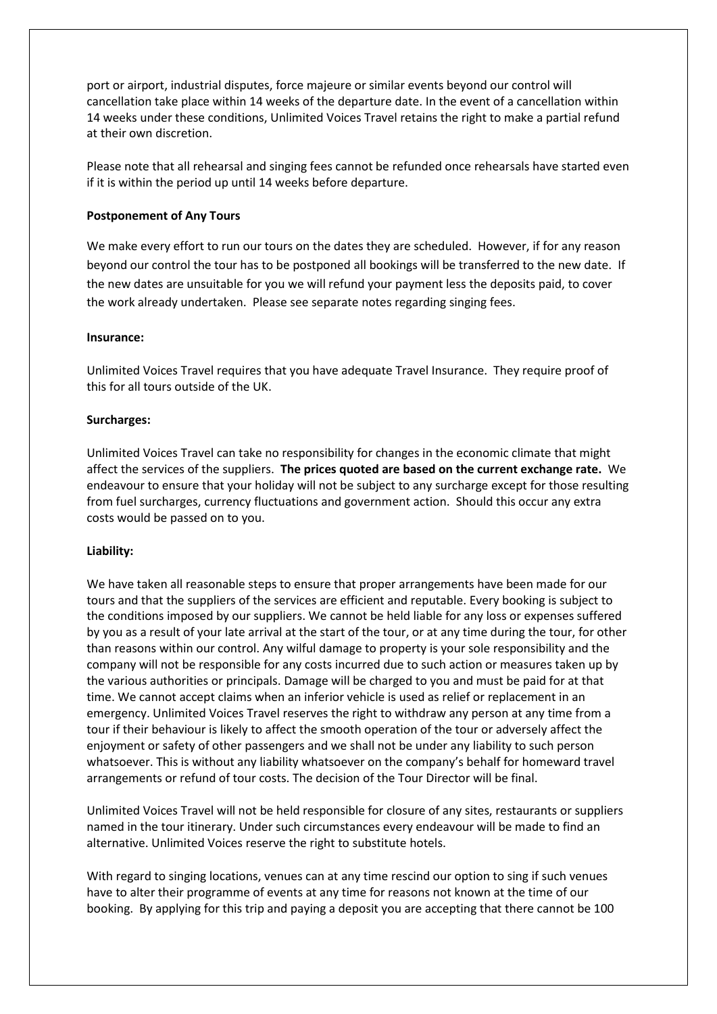port or airport, industrial disputes, force majeure or similar events beyond our control will cancellation take place within 14 weeks of the departure date. In the event of a cancellation within 14 weeks under these conditions, Unlimited Voices Travel retains the right to make a partial refund at their own discretion.

Please note that all rehearsal and singing fees cannot be refunded once rehearsals have started even if it is within the period up until 14 weeks before departure.

### **Postponement of Any Tours**

We make every effort to run our tours on the dates they are scheduled. However, if for any reason beyond our control the tour has to be postponed all bookings will be transferred to the new date. If the new dates are unsuitable for you we will refund your payment less the deposits paid, to cover the work already undertaken. Please see separate notes regarding singing fees.

#### **Insurance:**

Unlimited Voices Travel requires that you have adequate Travel Insurance. They require proof of this for all tours outside of the UK.

#### **Surcharges:**

Unlimited Voices Travel can take no responsibility for changes in the economic climate that might affect the services of the suppliers. **The prices quoted are based on the current exchange rate.** We endeavour to ensure that your holiday will not be subject to any surcharge except for those resulting from fuel surcharges, currency fluctuations and government action. Should this occur any extra costs would be passed on to you.

## **Liability:**

We have taken all reasonable steps to ensure that proper arrangements have been made for our tours and that the suppliers of the services are efficient and reputable. Every booking is subject to the conditions imposed by our suppliers. We cannot be held liable for any loss or expenses suffered by you as a result of your late arrival at the start of the tour, or at any time during the tour, for other than reasons within our control. Any wilful damage to property is your sole responsibility and the company will not be responsible for any costs incurred due to such action or measures taken up by the various authorities or principals. Damage will be charged to you and must be paid for at that time. We cannot accept claims when an inferior vehicle is used as relief or replacement in an emergency. Unlimited Voices Travel reserves the right to withdraw any person at any time from a tour if their behaviour is likely to affect the smooth operation of the tour or adversely affect the enjoyment or safety of other passengers and we shall not be under any liability to such person whatsoever. This is without any liability whatsoever on the company's behalf for homeward travel arrangements or refund of tour costs. The decision of the Tour Director will be final.

Unlimited Voices Travel will not be held responsible for closure of any sites, restaurants or suppliers named in the tour itinerary. Under such circumstances every endeavour will be made to find an alternative. Unlimited Voices reserve the right to substitute hotels.

With regard to singing locations, venues can at any time rescind our option to sing if such venues have to alter their programme of events at any time for reasons not known at the time of our booking. By applying for this trip and paying a deposit you are accepting that there cannot be 100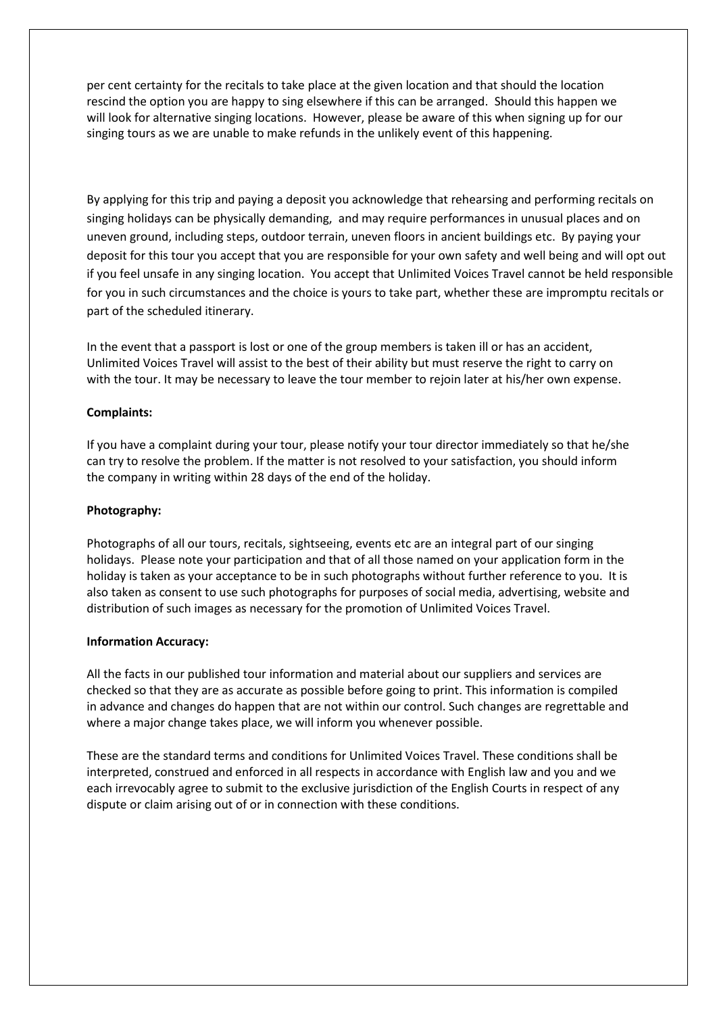per cent certainty for the recitals to take place at the given location and that should the location rescind the option you are happy to sing elsewhere if this can be arranged. Should this happen we will look for alternative singing locations. However, please be aware of this when signing up for our singing tours as we are unable to make refunds in the unlikely event of this happening.

By applying for this trip and paying a deposit you acknowledge that rehearsing and performing recitals on singing holidays can be physically demanding, and may require performances in unusual places and on uneven ground, including steps, outdoor terrain, uneven floors in ancient buildings etc. By paying your deposit for this tour you accept that you are responsible for your own safety and well being and will opt out if you feel unsafe in any singing location. You accept that Unlimited Voices Travel cannot be held responsible for you in such circumstances and the choice is yours to take part, whether these are impromptu recitals or part of the scheduled itinerary.

In the event that a passport is lost or one of the group members is taken ill or has an accident, Unlimited Voices Travel will assist to the best of their ability but must reserve the right to carry on with the tour. It may be necessary to leave the tour member to rejoin later at his/her own expense.

# **Complaints:**

If you have a complaint during your tour, please notify your tour director immediately so that he/she can try to resolve the problem. If the matter is not resolved to your satisfaction, you should inform the company in writing within 28 days of the end of the holiday.

## **Photography:**

Photographs of all our tours, recitals, sightseeing, events etc are an integral part of our singing holidays. Please note your participation and that of all those named on your application form in the holiday is taken as your acceptance to be in such photographs without further reference to you. It is also taken as consent to use such photographs for purposes of social media, advertising, website and distribution of such images as necessary for the promotion of Unlimited Voices Travel.

## **Information Accuracy:**

All the facts in our published tour information and material about our suppliers and services are checked so that they are as accurate as possible before going to print. This information is compiled in advance and changes do happen that are not within our control. Such changes are regrettable and where a major change takes place, we will inform you whenever possible.

These are the standard terms and conditions for Unlimited Voices Travel. These conditions shall be interpreted, construed and enforced in all respects in accordance with English law and you and we each irrevocably agree to submit to the exclusive jurisdiction of the English Courts in respect of any dispute or claim arising out of or in connection with these conditions.